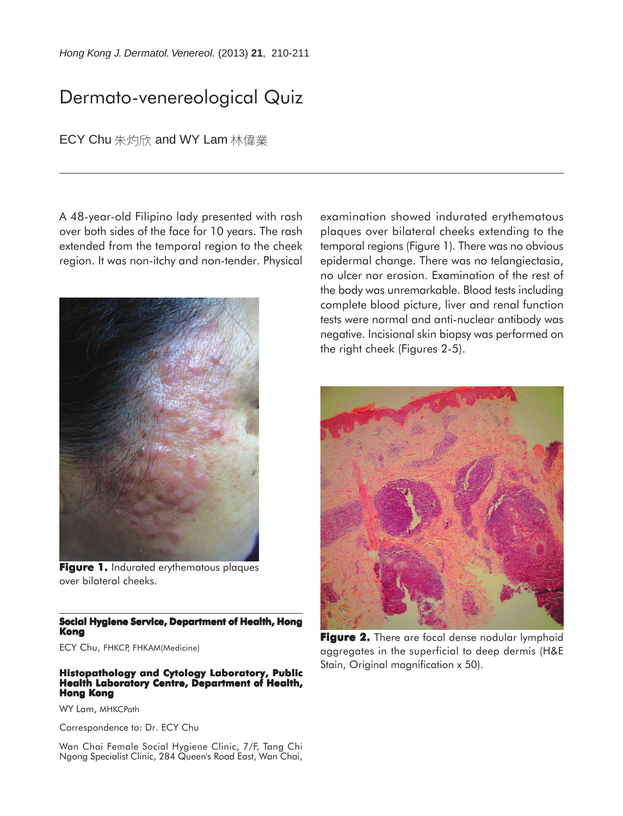*Hong Kong J. Dermatol. Venereol.* (2013) **21**, 210-211

# Dermato-venereological Quiz

ECY Chu 朱灼欣 and WY Lam 林偉業

A 48-year-old Filipino lady presented with rash over both sides of the face for 10 years. The rash extended from the temporal region to the cheek region. It was non-itchy and non-tender. Physical



Figure 1. Indurated erythematous plaques over bilateral cheeks.

#### **Social Hygiene Service, Department of Health, Hong Kong**

ECY Chu, FHKCP, FHKAM(Medicine)

#### **Histopathology and Cytology Laboratory, Public Health Laboratory Centre, Department of Health, Hong Kong**

WY Lam, MHKCPath

Correspondence to: Dr. ECY Chu

Wan Chai Female Social Hygiene Clinic, 7/F, Tang Chi Ngong Specialist Clinic, 284 Queen's Road East, Wan Chai, examination showed indurated erythematous plaques over bilateral cheeks extending to the temporal regions (Figure 1). There was no obvious epidermal change. There was no telangiectasia, no ulcer nor erosion. Examination of the rest of the body was unremarkable. Blood tests including complete blood picture, liver and renal function tests were normal and anti-nuclear antibody was negative. Incisional skin biopsy was performed on the right cheek (Figures 2-5).



Figure 2. There are focal dense nodular lymphoid aggregates in the superficial to deep dermis (H&E Stain, Original magnification x 50).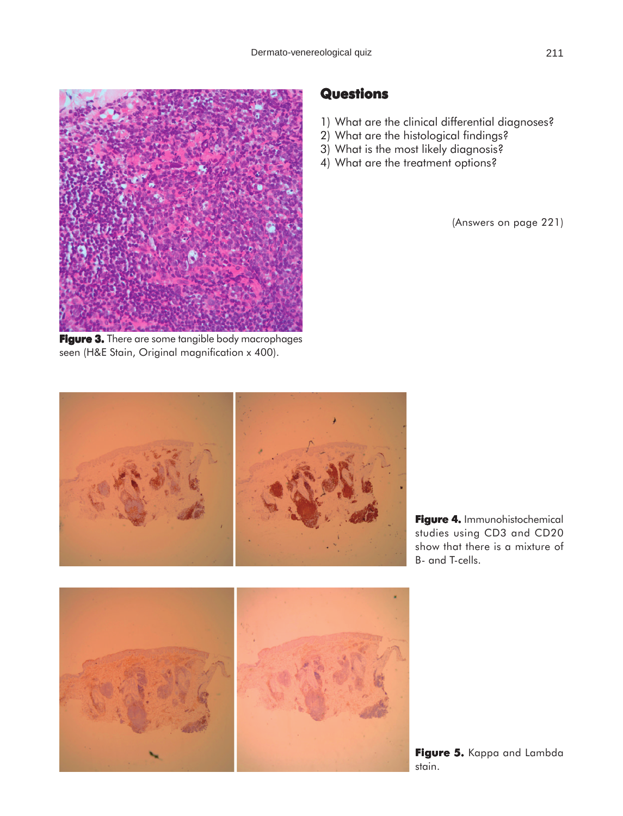

Figure 3. There are some tangible body macrophages seen (H&E Stain, Original magnification x 400).

### **Questions**

- 1) What are the clinical differential diagnoses?
- 2) What are the histological findings?
- 3) What is the most likely diagnosis?
- 4) What are the treatment options?

(Answers on page 221)



**Figure 4.** Immunohistochemical studies using CD3 and CD20 show that there is a mixture of B- and T-cells.



Figure 5. Kappa and Lambda stain.